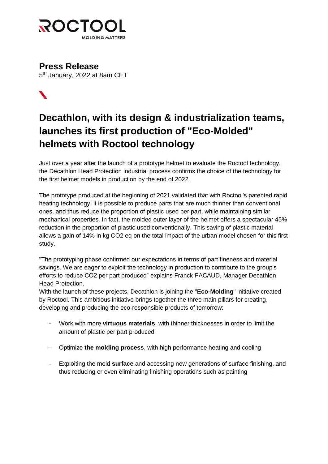

**Press Release**  5 th January, 2022 at 8am CET

 $\blacktriangledown$ 

## **Decathlon, with its design & industrialization teams, launches its first production of "Eco-Molded" helmets with Roctool technology**

Just over a year after the launch of a prototype helmet to evaluate the Roctool technology, the Decathlon Head Protection industrial process confirms the choice of the technology for the first helmet models in production by the end of 2022.

The prototype produced at the beginning of 2021 validated that with Roctool's patented rapid heating technology, it is possible to produce parts that are much thinner than conventional ones, and thus reduce the proportion of plastic used per part, while maintaining similar mechanical properties. In fact, the molded outer layer of the helmet offers a spectacular 45% reduction in the proportion of plastic used conventionally. This saving of plastic material allows a gain of 14% in kg CO2 eq on the total impact of the urban model chosen for this first study.

"The prototyping phase confirmed our expectations in terms of part fineness and material savings. We are eager to exploit the technology in production to contribute to the group's efforts to reduce CO2 per part produced" explains Franck PACAUD, Manager Decathlon Head Protection.

With the launch of these projects, Decathlon is joining the "**Eco-Molding**" initiative created by Roctool. This ambitious initiative brings together the three main pillars for creating, developing and producing the eco-responsible products of tomorrow:

- Work with more **virtuous materials**, with thinner thicknesses in order to limit the amount of plastic per part produced
- Optimize **the molding process**, with high performance heating and cooling
- Exploiting the mold **surface** and accessing new generations of surface finishing, and thus reducing or even eliminating finishing operations such as painting